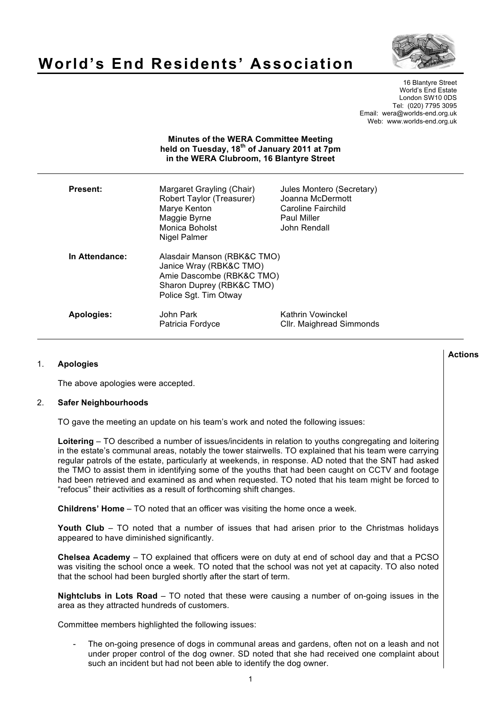

# **World's End Residents' Association**

16 Blantyre Street World's End Estate London SW10 0DS Tel: (020) 7795 3095 Email: wera@worlds-end.org.uk Web: www.worlds-end.org.uk

## **Minutes of the WERA Committee Meeting held on Tuesday, 18th of January 2011 at 7pm in the WERA Clubroom, 16 Blantyre Street**

| <b>Present:</b>   | Margaret Grayling (Chair)<br>Robert Taylor (Treasurer)<br>Marye Kenton<br>Maggie Byrne<br>Monica Boholst<br>Nigel Palmer                  | Jules Montero (Secretary)<br>Joanna McDermott<br>Caroline Fairchild<br><b>Paul Miller</b><br>John Rendall |
|-------------------|-------------------------------------------------------------------------------------------------------------------------------------------|-----------------------------------------------------------------------------------------------------------|
| In Attendance:    | Alasdair Manson (RBK&C TMO)<br>Janice Wray (RBK&C TMO)<br>Amie Dascombe (RBK&C TMO)<br>Sharon Duprey (RBK&C TMO)<br>Police Sgt. Tim Otway |                                                                                                           |
| <b>Apologies:</b> | John Park<br>Patricia Fordyce                                                                                                             | Kathrin Vowinckel<br>Cllr. Maighread Simmonds                                                             |

## 1. **Apologies**

The above apologies were accepted.

## 2. **Safer Neighbourhoods**

TO gave the meeting an update on his team's work and noted the following issues:

**Loitering** – TO described a number of issues/incidents in relation to youths congregating and loitering in the estate's communal areas, notably the tower stairwells. TO explained that his team were carrying regular patrols of the estate, particularly at weekends, in response. AD noted that the SNT had asked the TMO to assist them in identifying some of the youths that had been caught on CCTV and footage had been retrieved and examined as and when requested. TO noted that his team might be forced to "refocus" their activities as a result of forthcoming shift changes.

**Childrens' Home** – TO noted that an officer was visiting the home once a week.

**Youth Club** – TO noted that a number of issues that had arisen prior to the Christmas holidays appeared to have diminished significantly.

**Chelsea Academy** – TO explained that officers were on duty at end of school day and that a PCSO was visiting the school once a week. TO noted that the school was not yet at capacity. TO also noted that the school had been burgled shortly after the start of term.

**Nightclubs in Lots Road** – TO noted that these were causing a number of on-going issues in the area as they attracted hundreds of customers.

Committee members highlighted the following issues:

The on-going presence of dogs in communal areas and gardens, often not on a leash and not under proper control of the dog owner. SD noted that she had received one complaint about such an incident but had not been able to identify the dog owner.

#### 1

## **Actions**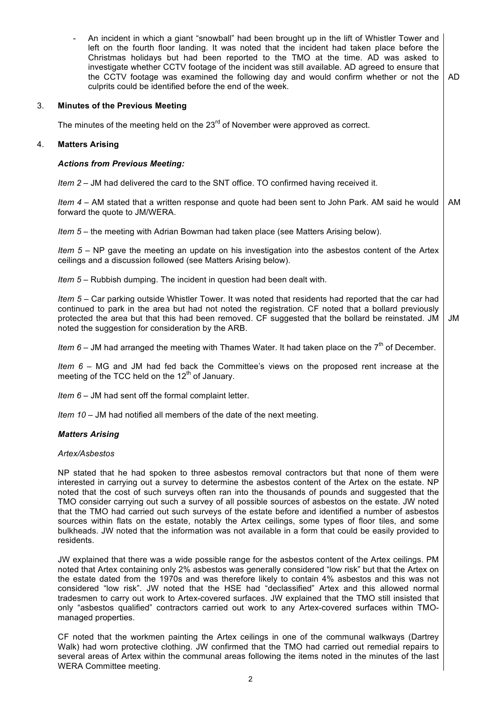|    | An incident in which a giant "snowball" had been brought up in the lift of Whistler Tower and<br>left on the fourth floor landing. It was noted that the incident had taken place before the<br>Christmas holidays but had been reported to the TMO at the time. AD was asked to<br>investigate whether CCTV footage of the incident was still available. AD agreed to ensure that<br>the CCTV footage was examined the following day and would confirm whether or not the<br>culprits could be identified before the end of the week.                                                                                                                                                                                                                | AD  |  |
|----|-------------------------------------------------------------------------------------------------------------------------------------------------------------------------------------------------------------------------------------------------------------------------------------------------------------------------------------------------------------------------------------------------------------------------------------------------------------------------------------------------------------------------------------------------------------------------------------------------------------------------------------------------------------------------------------------------------------------------------------------------------|-----|--|
| 3. | <b>Minutes of the Previous Meeting</b>                                                                                                                                                                                                                                                                                                                                                                                                                                                                                                                                                                                                                                                                                                                |     |  |
|    | The minutes of the meeting held on the $23rd$ of November were approved as correct.                                                                                                                                                                                                                                                                                                                                                                                                                                                                                                                                                                                                                                                                   |     |  |
| 4. | <b>Matters Arising</b>                                                                                                                                                                                                                                                                                                                                                                                                                                                                                                                                                                                                                                                                                                                                |     |  |
|    | <b>Actions from Previous Meeting:</b>                                                                                                                                                                                                                                                                                                                                                                                                                                                                                                                                                                                                                                                                                                                 |     |  |
|    | Item 2 – JM had delivered the card to the SNT office. TO confirmed having received it.                                                                                                                                                                                                                                                                                                                                                                                                                                                                                                                                                                                                                                                                |     |  |
|    | Item 4 – AM stated that a written response and quote had been sent to John Park. AM said he would<br>forward the quote to JM/WERA.                                                                                                                                                                                                                                                                                                                                                                                                                                                                                                                                                                                                                    | AM. |  |
|    | Item 5 - the meeting with Adrian Bowman had taken place (see Matters Arising below).                                                                                                                                                                                                                                                                                                                                                                                                                                                                                                                                                                                                                                                                  |     |  |
|    | Item $5 - NP$ gave the meeting an update on his investigation into the asbestos content of the Artex<br>ceilings and a discussion followed (see Matters Arising below).                                                                                                                                                                                                                                                                                                                                                                                                                                                                                                                                                                               |     |  |
|    | Item 5 – Rubbish dumping. The incident in question had been dealt with.                                                                                                                                                                                                                                                                                                                                                                                                                                                                                                                                                                                                                                                                               |     |  |
|    | Item 5 – Car parking outside Whistler Tower. It was noted that residents had reported that the car had<br>continued to park in the area but had not noted the registration. CF noted that a bollard previously<br>protected the area but that this had been removed. CF suggested that the bollard be reinstated. JM<br>noted the suggestion for consideration by the ARB.                                                                                                                                                                                                                                                                                                                                                                            | JM  |  |
|    | Item 6 – JM had arranged the meeting with Thames Water. It had taken place on the $7th$ of December.                                                                                                                                                                                                                                                                                                                                                                                                                                                                                                                                                                                                                                                  |     |  |
|    | Item $6 - MG$ and JM had fed back the Committee's views on the proposed rent increase at the<br>meeting of the TCC held on the 12 <sup>th</sup> of January.                                                                                                                                                                                                                                                                                                                                                                                                                                                                                                                                                                                           |     |  |
|    | Item $6 -$ JM had sent off the formal complaint letter.                                                                                                                                                                                                                                                                                                                                                                                                                                                                                                                                                                                                                                                                                               |     |  |
|    | Item 10 – JM had notified all members of the date of the next meeting.                                                                                                                                                                                                                                                                                                                                                                                                                                                                                                                                                                                                                                                                                |     |  |
|    | <b>Matters Arising</b>                                                                                                                                                                                                                                                                                                                                                                                                                                                                                                                                                                                                                                                                                                                                |     |  |
|    | Artex/Asbestos                                                                                                                                                                                                                                                                                                                                                                                                                                                                                                                                                                                                                                                                                                                                        |     |  |
|    | NP stated that he had spoken to three asbestos removal contractors but that none of them were<br>interested in carrying out a survey to determine the asbestos content of the Artex on the estate. NP<br>noted that the cost of such surveys often ran into the thousands of pounds and suggested that the<br>TMO consider carrying out such a survey of all possible sources of asbestos on the estate. JW noted<br>that the TMO had carried out such surveys of the estate before and identified a number of asbestos<br>sources within flats on the estate, notably the Artex ceilings, some types of floor tiles, and some<br>bulkheads. JW noted that the information was not available in a form that could be easily provided to<br>residents. |     |  |
|    | JW explained that there was a wide possible range for the asbestos content of the Artex ceilings. PM<br>noted that Artex containing only 2% asbestos was generally considered "low risk" but that the Artex on                                                                                                                                                                                                                                                                                                                                                                                                                                                                                                                                        |     |  |

noted that Artex containing only 2% asbestos was generally considered "low risk" but that the Artex on the estate dated from the 1970s and was therefore likely to contain 4% asbestos and this was not considered "low risk". JW noted that the HSE had "declassified" Artex and this allowed normal tradesmen to carry out work to Artex-covered surfaces. JW explained that the TMO still insisted that only "asbestos qualified" contractors carried out work to any Artex-covered surfaces within TMOmanaged properties.

CF noted that the workmen painting the Artex ceilings in one of the communal walkways (Dartrey Walk) had worn protective clothing. JW confirmed that the TMO had carried out remedial repairs to several areas of Artex within the communal areas following the items noted in the minutes of the last WERA Committee meeting.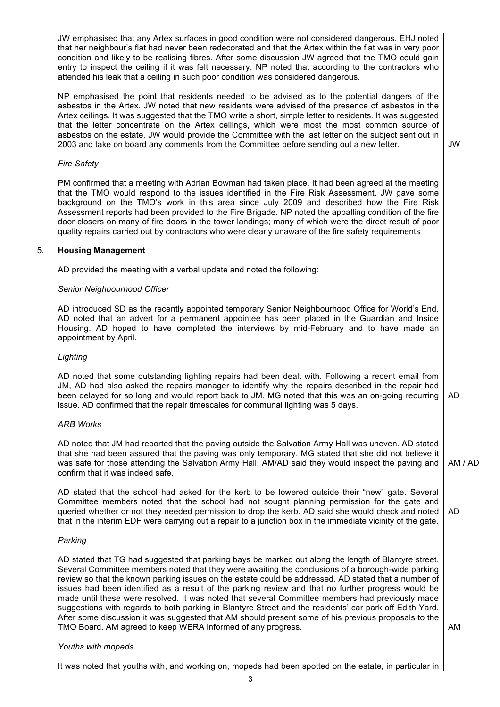JW emphasised that any Artex surfaces in good condition were not considered dangerous. EHJ noted that her neighbour's flat had never been redecorated and that the Artex within the flat was in very poor condition and likely to be realising fibres. After some discussion JW agreed that the TMO could gain entry to inspect the ceiling if it was felt necessary. NP noted that according to the contractors who attended his leak that a ceiling in such poor condition was considered dangerous.

NP emphasised the point that residents needed to be advised as to the potential dangers of the asbestos in the Artex. JW noted that new residents were advised of the presence of asbestos in the Artex ceilings. It was suggested that the TMO write a short, simple letter to residents. It was suggested that the letter concentrate on the Artex ceilings, which were most the most common source of asbestos on the estate. JW would provide the Committee with the last letter on the subject sent out in 2003 and take on board any comments from the Committee before sending out a new letter.

JW

## *Fire Safety*

PM confirmed that a meeting with Adrian Bowman had taken place. It had been agreed at the meeting that the TMO would respond to the issues identified in the Fire Risk Assessment. JW gave some background on the TMO's work in this area since July 2009 and described how the Fire Risk Assessment reports had been provided to the Fire Brigade. NP noted the appalling condition of the fire door closers on many of fire doors in the tower landings; many of which were the direct result of poor quality repairs carried out by contractors who were clearly unaware of the fire safety requirements

## 5. **Housing Management**

AD provided the meeting with a verbal update and noted the following:

## *Senior Neighbourhood Officer*

AD introduced SD as the recently appointed temporary Senior Neighbourhood Office for World's End. AD noted that an advert for a permanent appointee has been placed in the Guardian and Inside Housing. AD hoped to have completed the interviews by mid-February and to have made an appointment by April.

## *Lighting*

AD noted that some outstanding lighting repairs had been dealt with. Following a recent email from JM, AD had also asked the repairs manager to identify why the repairs described in the repair had been delayed for so long and would report back to JM. MG noted that this was an on-going recurring issue. AD confirmed that the repair timescales for communal lighting was 5 days. AD

## *ARB Works*

AD noted that JM had reported that the paving outside the Salvation Army Hall was uneven. AD stated that she had been assured that the paving was only temporary. MG stated that she did not believe it was safe for those attending the Salvation Army Hall. AM/AD said they would inspect the paving and confirm that it was indeed safe. AM / AD

AD stated that the school had asked for the kerb to be lowered outside their "new" gate. Several Committee members noted that the school had not sought planning permission for the gate and queried whether or not they needed permission to drop the kerb. AD said she would check and noted that in the interim EDF were carrying out a repair to a junction box in the immediate vicinity of the gate. AD

## *Parking*

AD stated that TG had suggested that parking bays be marked out along the length of Blantyre street. Several Committee members noted that they were awaiting the conclusions of a borough-wide parking review so that the known parking issues on the estate could be addressed. AD stated that a number of issues had been identified as a result of the parking review and that no further progress would be made until these were resolved. It was noted that several Committee members had previously made suggestions with regards to both parking in Blantyre Street and the residents' car park off Edith Yard. After some discussion it was suggested that AM should present some of his previous proposals to the TMO Board. AM agreed to keep WERA informed of any progress.

AM

## *Youths with mopeds*

It was noted that youths with, and working on, mopeds had been spotted on the estate, in particular in